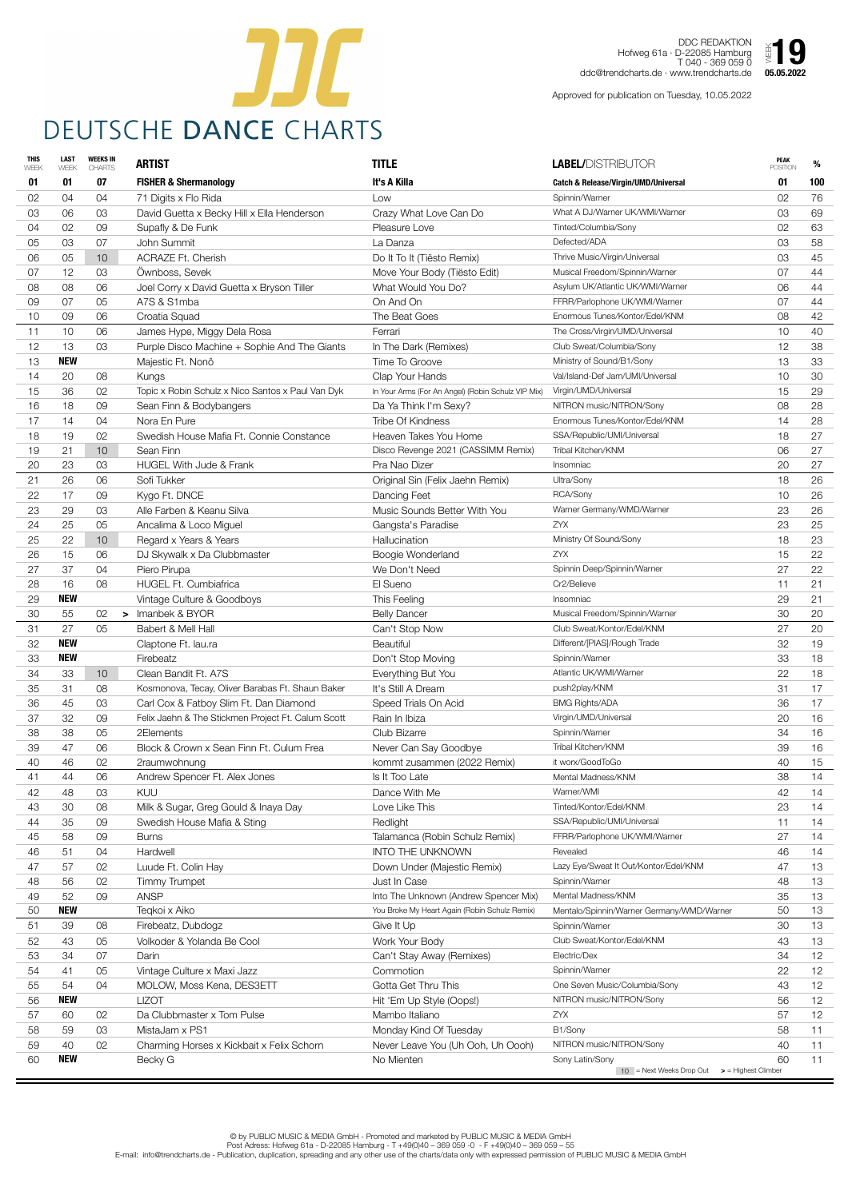| <b>THIS</b><br>WEEK | <b>LAST</b><br>WEEK | <b>WEEKS IN</b><br><b>CHARTS</b> | <b>ARTIST</b>                                      | <b>TITLE</b>                                       | <b>LABEL/DISTRIBUTOR</b>                          | <b>PEAK</b><br><b>POSITION</b> | %   |
|---------------------|---------------------|----------------------------------|----------------------------------------------------|----------------------------------------------------|---------------------------------------------------|--------------------------------|-----|
| 01                  | 01                  | 07                               | <b>FISHER &amp; Shermanology</b>                   | It's A Killa                                       | <b>Catch &amp; Release/Virgin/UMD/Universal</b>   | 01                             | 100 |
| 02                  | 04                  | 04                               | 71 Digits x Flo Rida                               | Low                                                | Spinnin/Warner                                    | 02                             | 76  |
| 03                  | 06                  | 03                               | David Guetta x Becky Hill x Ella Henderson         | Crazy What Love Can Do                             | What A DJ/Warner UK/WMI/Warner                    | 03                             | 69  |
| 04                  | 02                  | 09                               | Supafly & De Funk                                  | Pleasure Love                                      | Tinted/Columbia/Sony                              | 02                             | 63  |
| 05                  | 03                  | 07                               | John Summit                                        | La Danza                                           | Defected/ADA                                      | 03                             | 58  |
| 06                  | 05                  | 10                               | <b>ACRAZE Ft. Cherish</b>                          | Do It To It (Tiësto Remix)                         | Thrive Music/Virgin/Universal                     | 03                             | 45  |
| 07                  | 12                  | 03                               | Öwnboss, Sevek                                     | Move Your Body (Tiësto Edit)                       | Musical Freedom/Spinnin/Warner                    | 07                             | 44  |
| 08                  | 08                  | 06                               | Joel Corry x David Guetta x Bryson Tiller          | What Would You Do?                                 | Asylum UK/Atlantic UK/WMI/Warner                  | 06                             | 44  |
| 09                  | 07                  | 05                               | A7S & S1mba                                        | On And On                                          | FFRR/Parlophone UK/WMI/Warner                     | 07                             | 44  |
| 10                  | 09                  | 06                               | Croatia Squad                                      | The Beat Goes                                      | Enormous Tunes/Kontor/Edel/KNM                    | 08                             | 42  |
| 11                  | 10                  | 06                               | James Hype, Miggy Dela Rosa                        | Ferrari                                            | The Cross/Virgin/UMD/Universal                    | 10                             | 40  |
| 12                  | 13                  | 03                               | Purple Disco Machine + Sophie And The Giants       | In The Dark (Remixes)                              | Club Sweat/Columbia/Sony                          | 12                             | 38  |
| 13                  | <b>NEW</b>          |                                  | Majestic Ft. Nonô                                  | Time To Groove                                     | Ministry of Sound/B1/Sony                         | 13                             | 33  |
| 14                  | 20                  | 08                               | Kungs                                              | Clap Your Hands                                    | Val/Island-Def Jam/UMI/Universal                  | 10                             | 30  |
| 15                  | 36                  | 02                               | Topic x Robin Schulz x Nico Santos x Paul Van Dyk  | In Your Arms (For An Angel) (Robin Schulz VIP Mix) | Virgin/UMD/Universal                              | 15                             | 29  |
| 16                  | 18                  | 09                               | Sean Finn & Bodybangers                            | Da Ya Think I'm Sexy?                              | NITRON music/NITRON/Sony                          | 08                             | 28  |
| 17                  | 14                  | 04                               | Nora En Pure                                       | <b>Tribe Of Kindness</b>                           | Enormous Tunes/Kontor/Edel/KNM                    | 14                             | 28  |
| 18                  | 19                  | 02                               | Swedish House Mafia Ft. Connie Constance           | Heaven Takes You Home                              | SSA/Republic/UMI/Universal                        | 18                             | 27  |
| 19                  | 21                  | 10                               | Sean Finn                                          | Disco Revenge 2021 (CASSIMM Remix)                 | Tribal Kitchen/KNM                                | 06                             | 27  |
| 20                  | 23                  | 03                               | <b>HUGEL With Jude &amp; Frank</b>                 | Pra Nao Dizer                                      | Insomniac                                         | 20                             | 27  |
| 21                  | 26                  | 06                               | Sofi Tukker                                        | Original Sin (Felix Jaehn Remix)                   | Ultra/Sony                                        | 18                             | 26  |
| 22                  | 17                  | 09                               | Kygo Ft. DNCE                                      | Dancing Feet                                       | RCA/Sony                                          | 10                             | 26  |
| 23                  | 29                  | 03                               | Alle Farben & Keanu Silva                          | Music Sounds Better With You                       | Warner Germany/WMD/Warner                         | 23                             | 26  |
| 24                  | 25                  | 05                               | Ancalima & Loco Miguel                             | Gangsta's Paradise                                 | <b>ZYX</b>                                        | 23                             | 25  |
| 25                  | 22                  |                                  |                                                    | Hallucination                                      | Ministry Of Sound/Sony                            | 18                             | 23  |
|                     |                     | 10                               | Regard x Years & Years                             |                                                    | ZYX                                               |                                | 22  |
| 26                  | 15                  | 06                               | DJ Skywalk x Da Clubbmaster                        | Boogie Wonderland                                  | Spinnin Deep/Spinnin/Warner                       | 15                             | 22  |
| 27                  | 37                  | 04                               | Piero Pirupa                                       | We Don't Need                                      | Cr2/Believe                                       | 27                             |     |
| 28                  | 16<br><b>NEW</b>    | 08                               | <b>HUGEL Ft. Cumbiafrica</b>                       | El Sueno                                           |                                                   | 11                             | 21  |
| 29                  |                     |                                  | Vintage Culture & Goodboys<br>> Imanbek & BYOR     | This Feeling                                       | Insomniac                                         | 29                             | 21  |
| 30                  | 55                  | 02                               |                                                    | <b>Belly Dancer</b>                                | Musical Freedom/Spinnin/Warner                    | 30                             | 20  |
| 31                  | 27                  | 05                               | Babert & Mell Hall                                 | Can't Stop Now                                     | Club Sweat/Kontor/Edel/KNM                        | 27                             | 20  |
| 32                  | <b>NEW</b>          |                                  | Claptone Ft. lau.ra                                | <b>Beautiful</b>                                   | Different/[PIAS]/Rough Trade                      | 32                             | 19  |
| 33                  | <b>NEW</b>          |                                  | Firebeatz                                          | Don't Stop Moving                                  | Spinnin/Warner                                    | 33                             | 18  |
| 34                  | 33                  | 10                               | Clean Bandit Ft. A7S                               | Everything But You                                 | Atlantic UK/WMI/Warner                            | 22                             | 18  |
| 35                  | 31                  | 08                               | Kosmonova, Tecay, Oliver Barabas Ft. Shaun Baker   | It's Still A Dream                                 | push2play/KNM                                     | 31                             | 17  |
| 36                  | 45                  | 03                               | Carl Cox & Fatboy Slim Ft. Dan Diamond             | Speed Trials On Acid                               | <b>BMG Rights/ADA</b>                             | 36                             | 17  |
| 37                  | 32                  | 09                               | Felix Jaehn & The Stickmen Project Ft. Calum Scott | Rain In Ibiza                                      | Virgin/UMD/Universal                              | 20                             | 16  |
| 38                  | 38                  | 05                               | 2Elements                                          | Club Bizarre                                       | Spinnin/Warner                                    | 34                             | 16  |
| 39                  | 47                  | 06                               | Block & Crown x Sean Finn Ft. Culum Frea           | Never Can Say Goodbye                              | Tribal Kitchen/KNM                                | 39                             | 16  |
| 40                  | 46                  | 02                               | 2raumwohnung                                       | kommt zusammen (2022 Remix)                        | it worx/GoodToGo                                  | 40                             | 15  |
| 41                  | 44                  | 06                               | Andrew Spencer Ft. Alex Jones                      | Is It Too Late                                     | Mental Madness/KNM                                | 38                             | 14  |
| 42                  | 48                  | 03                               | KUU                                                | Dance With Me                                      | Warner/WMI                                        | 42                             | 14  |
| 43                  | 30                  | 08                               | Milk & Sugar, Greg Gould & Inaya Day               | Love Like This                                     | Tinted/Kontor/Edel/KNM                            | 23                             | 14  |
| 44                  | 35                  | 09                               | Swedish House Mafia & Sting                        | Redlight                                           | SSA/Republic/UMI/Universal                        | 11                             | 14  |
| 45                  | 58                  | 09                               | <b>Burns</b>                                       | Talamanca (Robin Schulz Remix)                     | FFRR/Parlophone UK/WMI/Warner                     | 27                             | 14  |
| 46                  | 51                  | 04                               | Hardwell                                           | <b>INTO THE UNKNOWN</b>                            | Revealed                                          | 46                             | 14  |
| 47                  | 57                  | 02                               | Luude Ft. Colin Hay                                | Down Under (Majestic Remix)                        | Lazy Eye/Sweat It Out/Kontor/Edel/KNM             | 47                             | 13  |
| 48                  | 56                  | 02                               | <b>Timmy Trumpet</b>                               | Just In Case                                       | Spinnin/Warner                                    | 48                             | 13  |
| 49                  | 52                  | 09                               | <b>ANSP</b>                                        | Into The Unknown (Andrew Spencer Mix)              | Mental Madness/KNM                                | 35                             | 13  |
| 50                  | <b>NEW</b>          |                                  | Teqkoi x Aiko                                      | You Broke My Heart Again (Robin Schulz Remix)      | Mentalo/Spinnin/Warner Germany/WMD/Warner         | 50                             | 13  |
| 51                  | 39                  | 08                               | Firebeatz, Dubdogz                                 | Give It Up                                         | Spinnin/Warner                                    | 30                             | 13  |
| 52                  | 43                  | 05                               | Volkoder & Yolanda Be Cool                         | Work Your Body                                     | Club Sweat/Kontor/Edel/KNM                        | 43                             | 13  |
| 53                  | 34                  | 07                               | Darin                                              | Can't Stay Away (Remixes)                          | Electric/Dex                                      | 34                             | 12  |
| 54                  | 41                  | 05                               | Vintage Culture x Maxi Jazz                        | Commotion                                          | Spinnin/Warner                                    | 22                             | 12  |
| 55                  | 54                  | 04                               | MOLOW, Moss Kena, DES3ETT                          | Gotta Get Thru This                                | One Seven Music/Columbia/Sony                     | 43                             | 12  |
| 56                  | <b>NEW</b>          |                                  | <b>LIZOT</b>                                       | Hit 'Em Up Style (Oops!)                           | NITRON music/NITRON/Sony                          | 56                             | 12  |
| 57                  | 60                  | 02                               | Da Clubbmaster x Tom Pulse                         | Mambo Italiano                                     | <b>ZYX</b>                                        | 57                             | 12  |
| 58                  | 59                  | 03                               | MistaJam x PS1                                     | Monday Kind Of Tuesday                             | B1/Sony                                           | 58                             | 11  |
| 59                  | 40                  | 02                               | Charming Horses x Kickbait x Felix Schorn          | Never Leave You (Uh Ooh, Uh Oooh)                  | NITRON music/NITRON/Sony                          | 40                             | 11  |
| 60                  | <b>NEW</b>          |                                  | Becky G                                            | No Mienten                                         | Sony Latin/Sony                                   | 60                             | 11  |
|                     |                     |                                  |                                                    |                                                    | $10$ = Next Weeks Drop Out<br>> = Highest Climber |                                |     |



DDC REDAKTION Hofweg 61a · D-22085 Hamburg T 040 - 369 059 0 ddc@trendcharts.de · www.trendcharts.de

Approved for publication on Tuesday, 10.05.2022